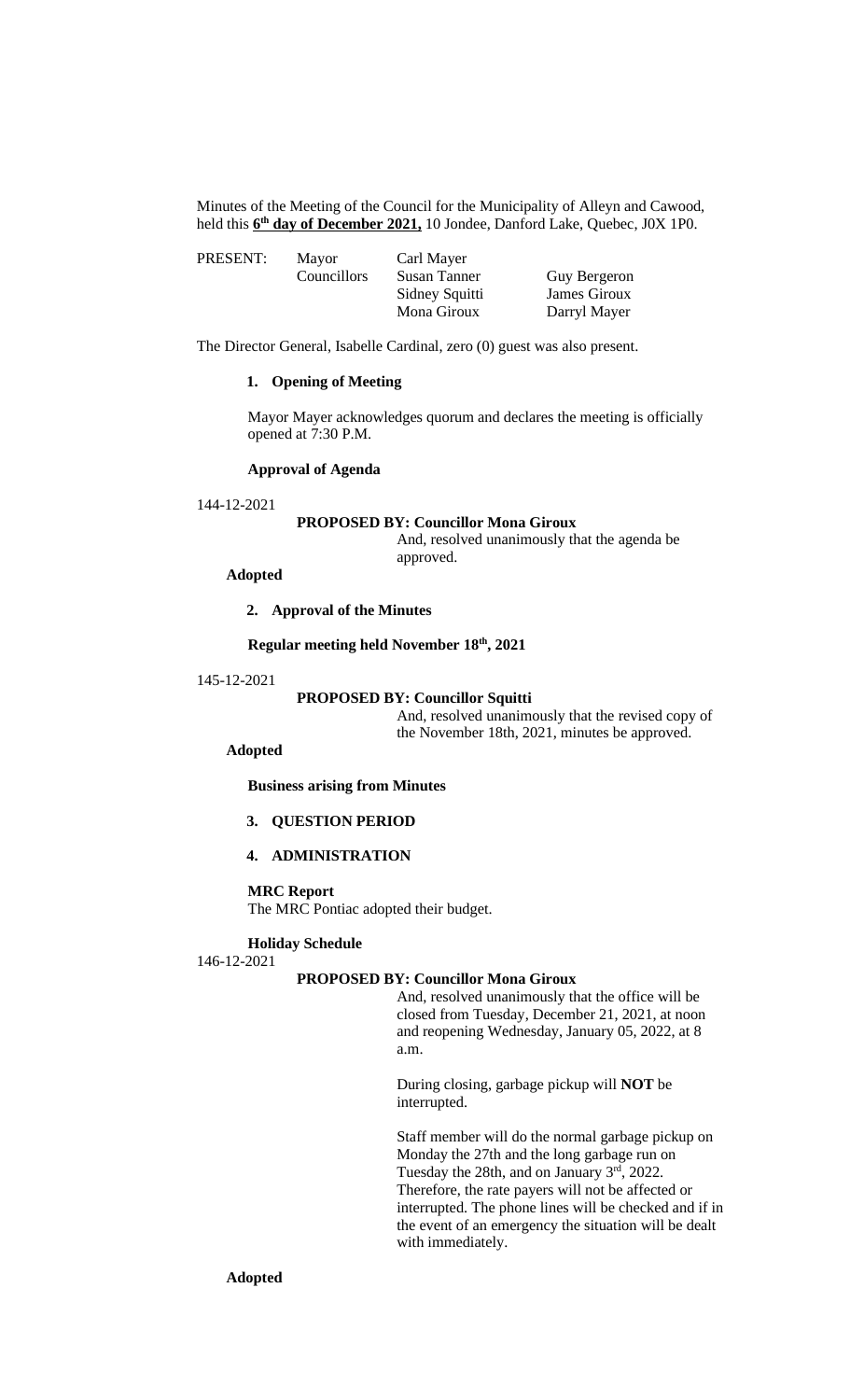Minutes of the Meeting of the Council for the Municipality of Alleyn and Cawood, held this **6 th day of December 2021,** 10 Jondee, Danford Lake, Quebec, J0X 1P0.

| PRESENT: | Mayor              | Carl Mayer     |              |
|----------|--------------------|----------------|--------------|
|          | <b>Councillors</b> | Susan Tanner   | Guy Bergeron |
|          |                    | Sidney Squitti | James Giroux |
|          |                    | Mona Giroux    | Darryl Mayer |

The Director General, Isabelle Cardinal, zero (0) guest was also present.

## **1. Opening of Meeting**

Mayor Mayer acknowledges quorum and declares the meeting is officially opened at 7:30 P.M.

## **Approval of Agenda**

$$
144\hbox{-} 12\hbox{-} 2021
$$

#### **PROPOSED BY: Councillor Mona Giroux**

And, resolved unanimously that the agenda be approved.

# **Adopted**

#### **2. Approval of the Minutes**

#### **Regular meeting held November 18th, 2021**

#### 145-12-2021

## **PROPOSED BY: Councillor Squitti**

And, resolved unanimously that the revised copy of the November 18th, 2021, minutes be approved.

# **Adopted**

**Business arising from Minutes**

# **3. QUESTION PERIOD**

## **4. ADMINISTRATION**

#### **MRC Report**

The MRC Pontiac adopted their budget.

# **Holiday Schedule**

146-12-2021

## **PROPOSED BY: Councillor Mona Giroux**

And, resolved unanimously that the office will be closed from Tuesday, December 21, 2021, at noon and reopening Wednesday, January 05, 2022, at 8 a.m.

During closing, garbage pickup will **NOT** be interrupted.

Staff member will do the normal garbage pickup on Monday the 27th and the long garbage run on Tuesday the 28th, and on January 3rd, 2022. Therefore, the rate payers will not be affected or interrupted. The phone lines will be checked and if in the event of an emergency the situation will be dealt with immediately.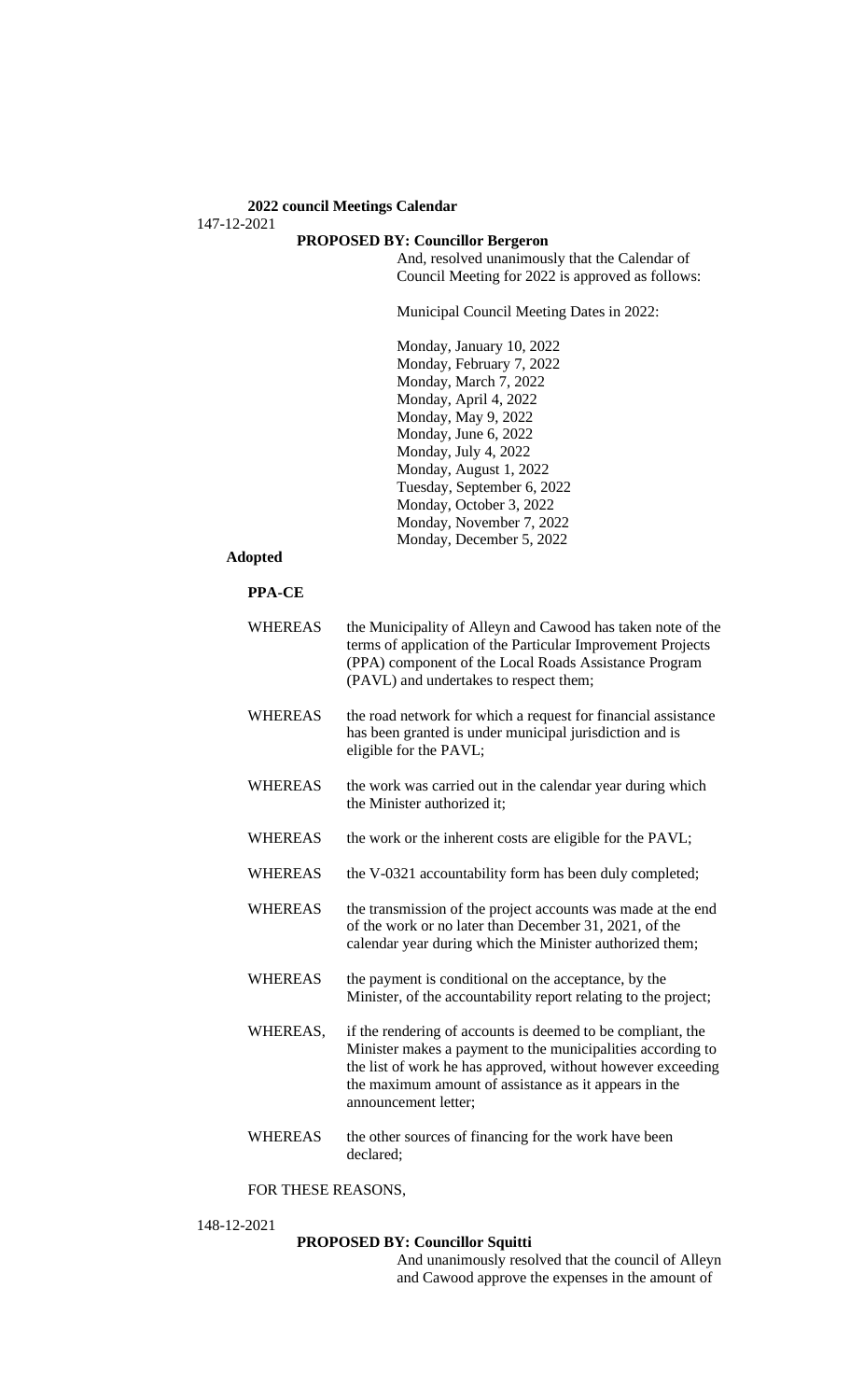# **PROPOSED BY: Councillor Bergeron**

And, resolved unanimously that the Calendar of Council Meeting for 2022 is approved as follows:

Municipal Council Meeting Dates in 2022:

Monday, January 10, 2022 Monday, February 7, 2022 Monday, March 7, 2022 Monday, April 4, 2022 Monday, May 9, 2022 Monday, June 6, 2022 Monday, July 4, 2022 Monday, August 1, 2022 Tuesday, September 6, 2022 Monday, October 3, 2022 Monday, November 7, 2022 Monday, December 5, 2022

# **Adopted**

## **PPA-CE**

| <b>WHEREAS</b> | the Municipality of Alleyn and Cawood has taken note of the<br>terms of application of the Particular Improvement Projects<br>(PPA) component of the Local Roads Assistance Program<br>(PAVL) and undertakes to respect them;                                              |
|----------------|----------------------------------------------------------------------------------------------------------------------------------------------------------------------------------------------------------------------------------------------------------------------------|
| <b>WHEREAS</b> | the road network for which a request for financial assistance<br>has been granted is under municipal jurisdiction and is<br>eligible for the PAVL;                                                                                                                         |
| WHEREAS        | the work was carried out in the calendar year during which<br>the Minister authorized it;                                                                                                                                                                                  |
| <b>WHEREAS</b> | the work or the inherent costs are eligible for the PAVL;                                                                                                                                                                                                                  |
| <b>WHEREAS</b> | the V-0321 accountability form has been duly completed;                                                                                                                                                                                                                    |
| <b>WHEREAS</b> | the transmission of the project accounts was made at the end<br>of the work or no later than December 31, 2021, of the<br>calendar year during which the Minister authorized them;                                                                                         |
| <b>WHEREAS</b> | the payment is conditional on the acceptance, by the<br>Minister, of the accountability report relating to the project;                                                                                                                                                    |
| WHEREAS,       | if the rendering of accounts is deemed to be compliant, the<br>Minister makes a payment to the municipalities according to<br>the list of work he has approved, without however exceeding<br>the maximum amount of assistance as it appears in the<br>announcement letter; |
| <b>WHEREAS</b> | the other sources of financing for the work have been<br>declared;                                                                                                                                                                                                         |

## FOR THESE REASONS,

148-12-2021

# **PROPOSED BY: Councillor Squitti**

And unanimously resolved that the council of Alleyn and Cawood approve the expenses in the amount of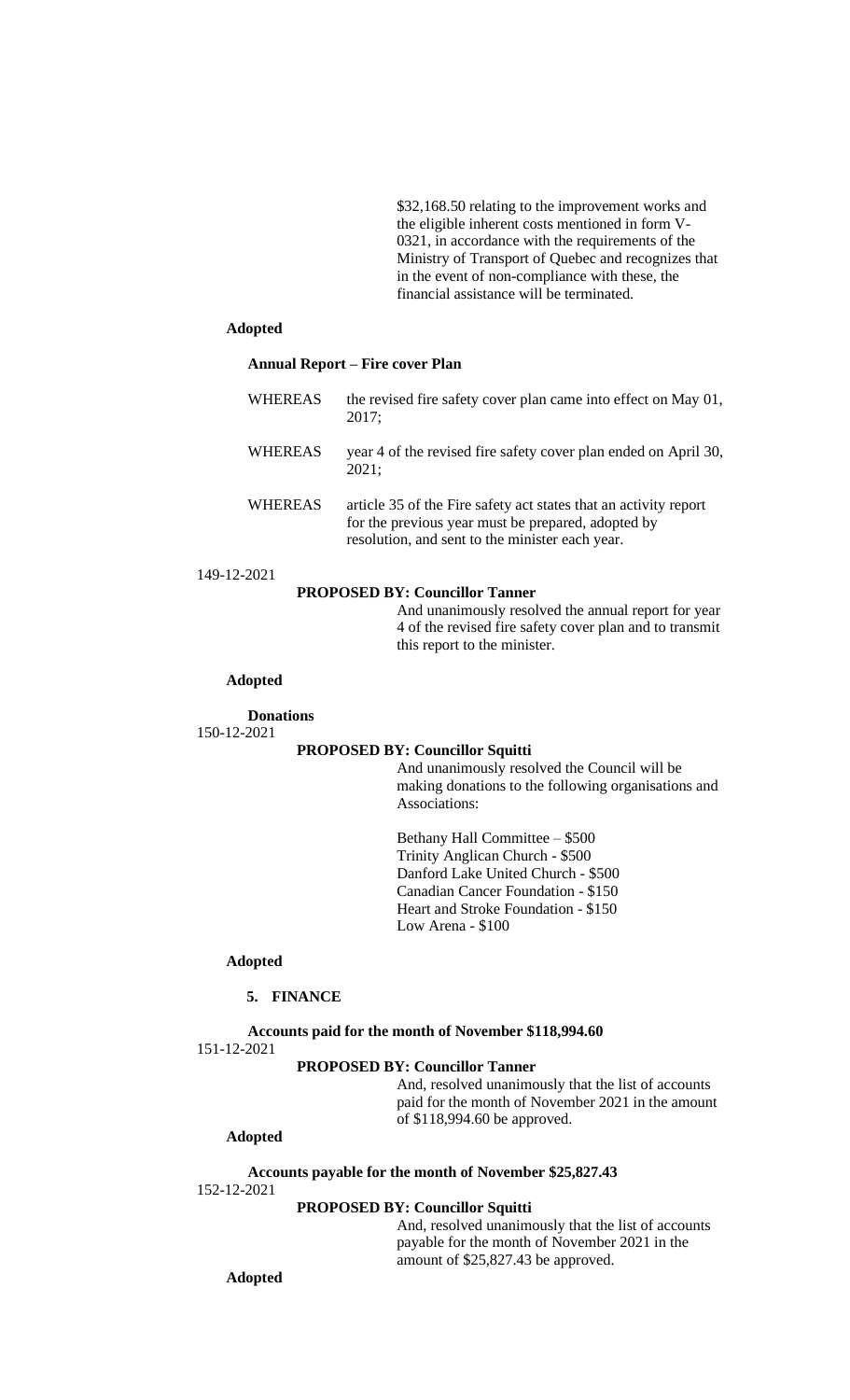\$32,168.50 relating to the improvement works and the eligible inherent costs mentioned in form V-0321, in accordance with the requirements of the Ministry of Transport of Quebec and recognizes that in the event of non-compliance with these, the financial assistance will be terminated.

## **Adopted**

#### **Annual Report – Fire cover Plan**

| <b>WHEREAS</b> | the revised fire safety cover plan came into effect on May 01,<br>2017;                                                                                                   |
|----------------|---------------------------------------------------------------------------------------------------------------------------------------------------------------------------|
| <b>WHEREAS</b> | year 4 of the revised fire safety cover plan ended on April 30,<br>2021:                                                                                                  |
| <b>WHEREAS</b> | article 35 of the Fire safety act states that an activity report<br>for the previous year must be prepared, adopted by<br>resolution, and sent to the minister each year. |

149-12-2021

### **PROPOSED BY: Councillor Tanner**

And unanimously resolved the annual report for year 4 of the revised fire safety cover plan and to transmit this report to the minister.

#### **Adopted**

## **Donations** 150-12-2021

#### **PROPOSED BY: Councillor Squitti**

And unanimously resolved the Council will be making donations to the following organisations and Associations:

Bethany Hall Committee – \$500 Trinity Anglican Church - \$500 Danford Lake United Church - \$500 Canadian Cancer Foundation - \$150 Heart and Stroke Foundation - \$150 Low Arena - \$100

#### **Adopted**

# **5. FINANCE**

#### **Accounts paid for the month of November \$118,994.60**

151-12-2021

# **PROPOSED BY: Councillor Tanner**

And, resolved unanimously that the list of accounts paid for the month of November 2021 in the amount of \$118,994.60 be approved.

# **Adopted**

**Accounts payable for the month of November \$25,827.43**

152-12-2021

### **PROPOSED BY: Councillor Squitti**

And, resolved unanimously that the list of accounts payable for the month of November 2021 in the amount of \$25,827.43 be approved.

**Adopted**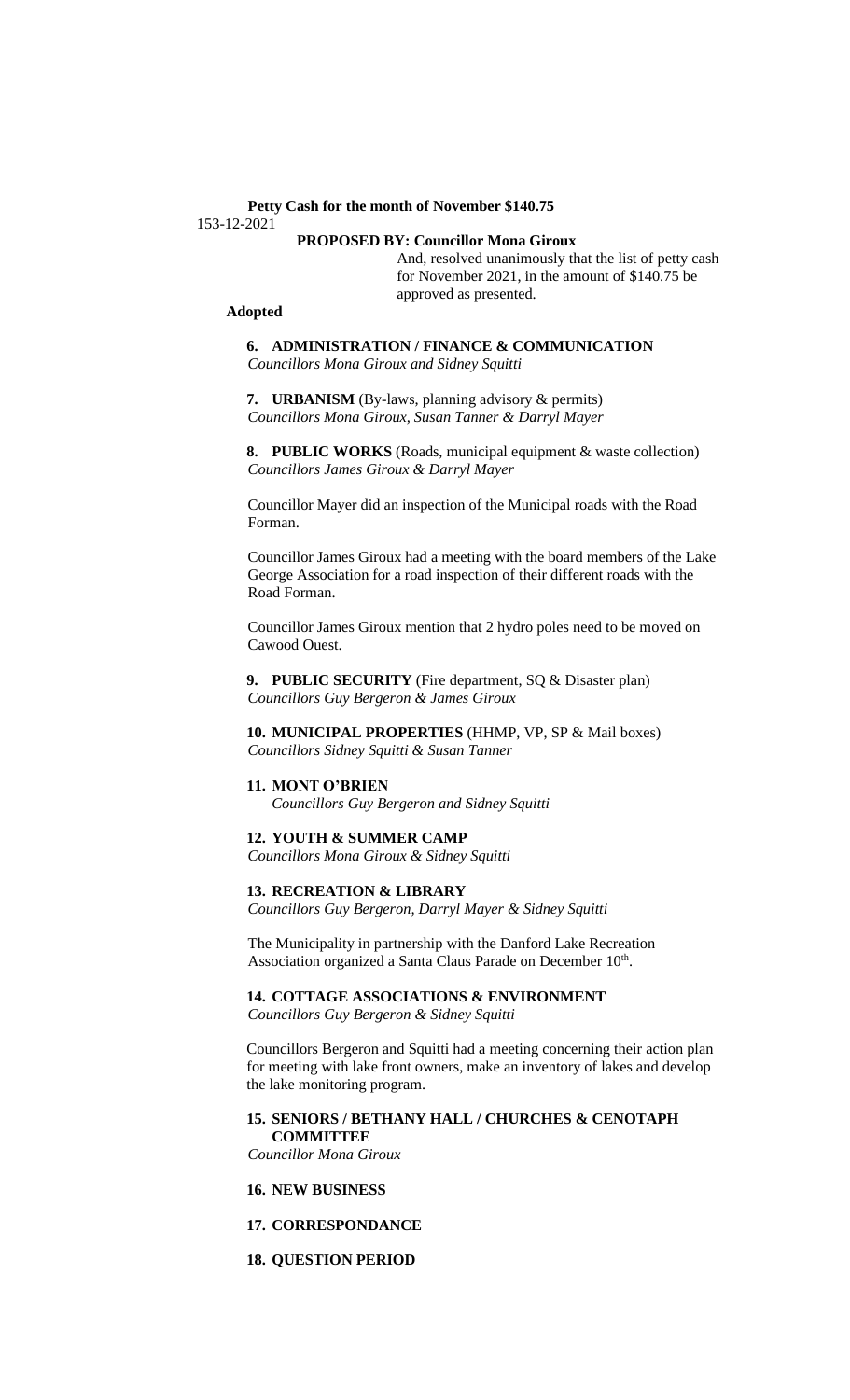# **Petty Cash for the month of November \$140.75** 153-12-2021

# **PROPOSED BY: Councillor Mona Giroux**

And, resolved unanimously that the list of petty cash for November 2021, in the amount of \$140.75 be approved as presented.

#### **Adopted**

**6. ADMINISTRATION / FINANCE & COMMUNICATION** *Councillors Mona Giroux and Sidney Squitti*

**7. URBANISM** (By-laws, planning advisory & permits) *Councillors Mona Giroux, Susan Tanner & Darryl Mayer*

**8. PUBLIC WORKS** (Roads, municipal equipment & waste collection) *Councillors James Giroux & Darryl Mayer*

Councillor Mayer did an inspection of the Municipal roads with the Road Forman.

Councillor James Giroux had a meeting with the board members of the Lake George Association for a road inspection of their different roads with the Road Forman.

Councillor James Giroux mention that 2 hydro poles need to be moved on Cawood Ouest.

**9. PUBLIC SECURITY** (Fire department, SQ & Disaster plan) *Councillors Guy Bergeron & James Giroux*

**10. MUNICIPAL PROPERTIES** (HHMP, VP, SP & Mail boxes) *Councillors Sidney Squitti & Susan Tanner*

#### **11. MONT O'BRIEN**

*Councillors Guy Bergeron and Sidney Squitti*

**12. YOUTH & SUMMER CAMP**

*Councillors Mona Giroux & Sidney Squitti*

#### **13. RECREATION & LIBRARY**

*Councillors Guy Bergeron, Darryl Mayer & Sidney Squitti*

The Municipality in partnership with the Danford Lake Recreation Association organized a Santa Claus Parade on December 10th.

**14. COTTAGE ASSOCIATIONS & ENVIRONMENT**

*Councillors Guy Bergeron & Sidney Squitti*

Councillors Bergeron and Squitti had a meeting concerning their action plan for meeting with lake front owners, make an inventory of lakes and develop the lake monitoring program.

#### **15. SENIORS / BETHANY HALL / CHURCHES & CENOTAPH COMMITTEE**

*Councillor Mona Giroux*

- **16. NEW BUSINESS**
- **17. CORRESPONDANCE**
- **18. QUESTION PERIOD**